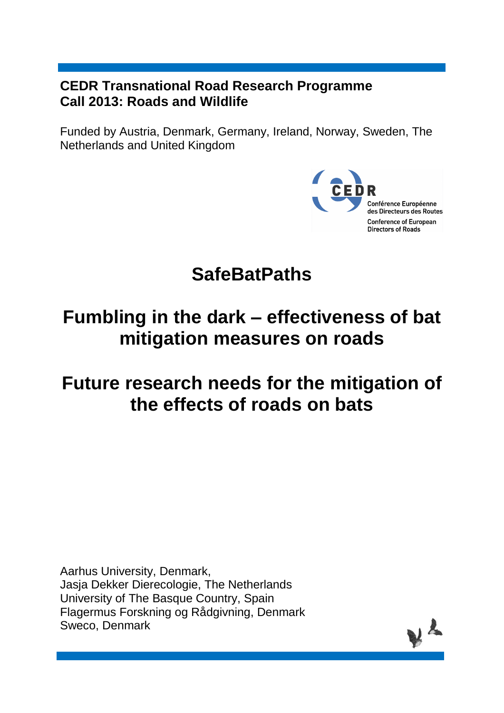### **CEDR Transnational Road Research Programme Call 2013: Roads and Wildlife**

Funded by Austria, Denmark, Germany, Ireland, Norway, Sweden, The Netherlands and United Kingdom



# **SafeBatPaths**

# **Fumbling in the dark – effectiveness of bat mitigation measures on roads**

# **Future research needs for the mitigation of the effects of roads on bats**

Aarhus University, Denmark, Jasja Dekker Dierecologie, The Netherlands University of The Basque Country, Spain Flagermus Forskning og Rådgivning, Denmark Sweco, Denmark

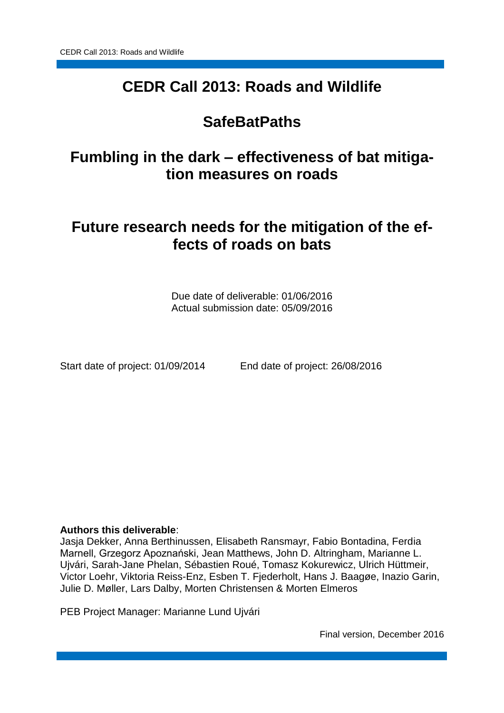## **CEDR Call 2013: Roads and Wildlife**

## **SafeBatPaths**

## **Fumbling in the dark – effectiveness of bat mitigation measures on roads**

## **Future research needs for the mitigation of the effects of roads on bats**

Due date of deliverable: 01/06/2016 Actual submission date: 05/09/2016

Start date of project: 01/09/2014 End date of project: 26/08/2016

### **Authors this deliverable**:

Jasja Dekker, Anna Berthinussen, Elisabeth Ransmayr, Fabio Bontadina, Ferdia Marnell, Grzegorz Apoznański, Jean Matthews, John D. Altringham, Marianne L. Ujvári, Sarah-Jane Phelan, Sébastien Roué, Tomasz Kokurewicz, Ulrich Hüttmeir, Victor Loehr, Viktoria Reiss-Enz, Esben T. Fjederholt, Hans J. Baagøe, Inazio Garin, Julie D. Møller, Lars Dalby, Morten Christensen & Morten Elmeros

PEB Project Manager: Marianne Lund Ujvári

Final version, December 2016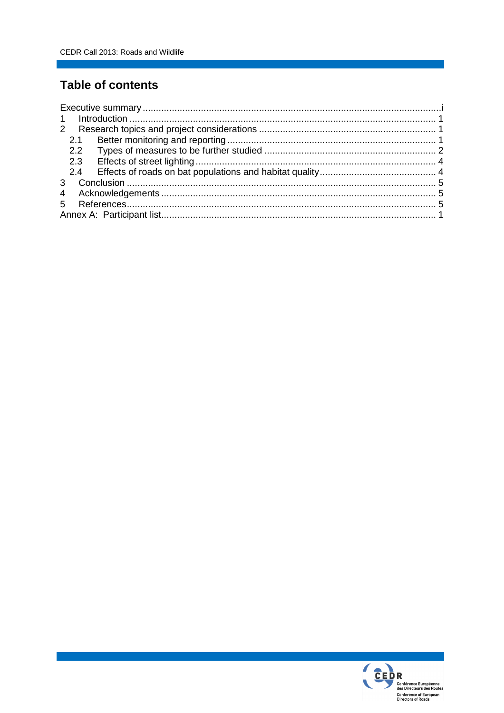### **Table of contents**

| 2.1           |  |
|---------------|--|
| $2.2^{\circ}$ |  |
| 2.3           |  |
| 2.4           |  |
|               |  |
|               |  |
|               |  |
|               |  |

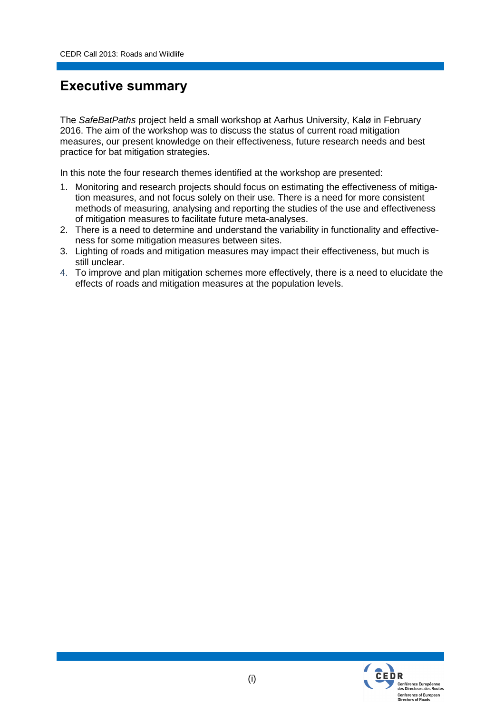### **Executive summary**

The *SafeBatPaths* project held a small workshop at Aarhus University, Kalø in February 2016. The aim of the workshop was to discuss the status of current road mitigation measures, our present knowledge on their effectiveness, future research needs and best practice for bat mitigation strategies.

In this note the four research themes identified at the workshop are presented:

- 1. Monitoring and research projects should focus on estimating the effectiveness of mitigation measures, and not focus solely on their use. There is a need for more consistent methods of measuring, analysing and reporting the studies of the use and effectiveness of mitigation measures to facilitate future meta-analyses.
- 2. There is a need to determine and understand the variability in functionality and effectiveness for some mitigation measures between sites.
- 3. Lighting of roads and mitigation measures may impact their effectiveness, but much is still unclear.
- 4. To improve and plan mitigation schemes more effectively, there is a need to elucidate the effects of roads and mitigation measures at the population levels.

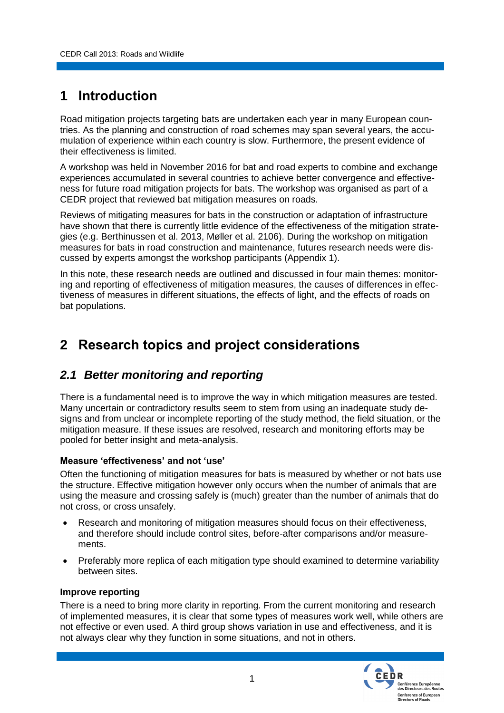## **1 Introduction**

Road mitigation projects targeting bats are undertaken each year in many European countries. As the planning and construction of road schemes may span several years, the accumulation of experience within each country is slow. Furthermore, the present evidence of their effectiveness is limited.

A workshop was held in November 2016 for bat and road experts to combine and exchange experiences accumulated in several countries to achieve better convergence and effectiveness for future road mitigation projects for bats. The workshop was organised as part of a CEDR project that reviewed bat mitigation measures on roads.

Reviews of mitigating measures for bats in the construction or adaptation of infrastructure have shown that there is currently little evidence of the effectiveness of the mitigation strategies (e.g. Berthinussen et al. 2013, Møller et al. 2106). During the workshop on mitigation measures for bats in road construction and maintenance, futures research needs were discussed by experts amongst the workshop participants (Appendix 1).

In this note, these research needs are outlined and discussed in four main themes: monitoring and reporting of effectiveness of mitigation measures, the causes of differences in effectiveness of measures in different situations, the effects of light, and the effects of roads on bat populations.

## **2 Research topics and project considerations**

### *2.1 Better monitoring and reporting*

There is a fundamental need is to improve the way in which mitigation measures are tested. Many uncertain or contradictory results seem to stem from using an inadequate study designs and from unclear or incomplete reporting of the study method, the field situation, or the mitigation measure. If these issues are resolved, research and monitoring efforts may be pooled for better insight and meta-analysis.

### **Measure 'effectiveness' and not 'use'**

Often the functioning of mitigation measures for bats is measured by whether or not bats use the structure. Effective mitigation however only occurs when the number of animals that are using the measure and crossing safely is (much) greater than the number of animals that do not cross, or cross unsafely.

- Research and monitoring of mitigation measures should focus on their effectiveness, and therefore should include control sites, before-after comparisons and/or measurements.
- Preferably more replica of each mitigation type should examined to determine variability between sites.

### **Improve reporting**

There is a need to bring more clarity in reporting. From the current monitoring and research of implemented measures, it is clear that some types of measures work well, while others are not effective or even used. A third group shows variation in use and effectiveness, and it is not always clear why they function in some situations, and not in others.

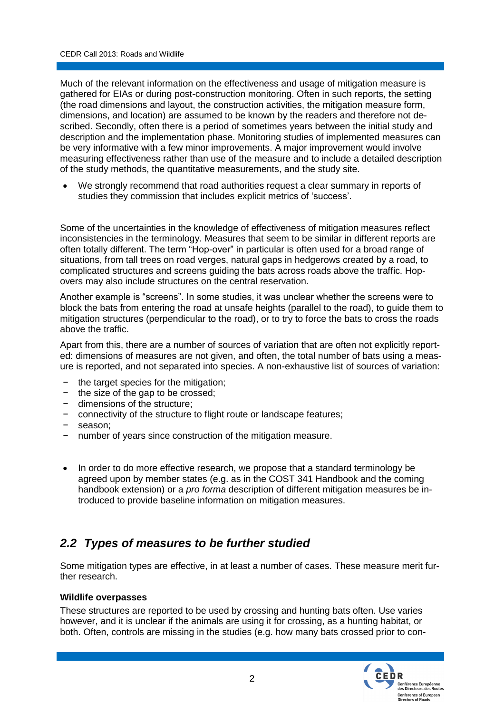Much of the relevant information on the effectiveness and usage of mitigation measure is gathered for EIAs or during post-construction monitoring. Often in such reports, the setting (the road dimensions and layout, the construction activities, the mitigation measure form, dimensions, and location) are assumed to be known by the readers and therefore not described. Secondly, often there is a period of sometimes years between the initial study and description and the implementation phase. Monitoring studies of implemented measures can be very informative with a few minor improvements. A major improvement would involve measuring effectiveness rather than use of the measure and to include a detailed description of the study methods, the quantitative measurements, and the study site.

 We strongly recommend that road authorities request a clear summary in reports of studies they commission that includes explicit metrics of 'success'.

Some of the uncertainties in the knowledge of effectiveness of mitigation measures reflect inconsistencies in the terminology. Measures that seem to be similar in different reports are often totally different. The term "Hop-over" in particular is often used for a broad range of situations, from tall trees on road verges, natural gaps in hedgerows created by a road, to complicated structures and screens guiding the bats across roads above the traffic. Hopovers may also include structures on the central reservation.

Another example is "screens". In some studies, it was unclear whether the screens were to block the bats from entering the road at unsafe heights (parallel to the road), to guide them to mitigation structures (perpendicular to the road), or to try to force the bats to cross the roads above the traffic.

Apart from this, there are a number of sources of variation that are often not explicitly reported: dimensions of measures are not given, and often, the total number of bats using a measure is reported, and not separated into species. A non-exhaustive list of sources of variation:

- the target species for the mitigation;
- − the size of the gap to be crossed;
- − dimensions of the structure;
- connectivity of the structure to flight route or landscape features;
- − season;
- number of years since construction of the mitigation measure.
- In order to do more effective research, we propose that a standard terminology be agreed upon by member states (e.g. as in the COST 341 Handbook and the coming handbook extension) or a *pro forma* description of different mitigation measures be introduced to provide baseline information on mitigation measures.

### *2.2 Types of measures to be further studied*

Some mitigation types are effective, in at least a number of cases. These measure merit further research.

### **Wildlife overpasses**

These structures are reported to be used by crossing and hunting bats often. Use varies however, and it is unclear if the animals are using it for crossing, as a hunting habitat, or both. Often, controls are missing in the studies (e.g. how many bats crossed prior to con-

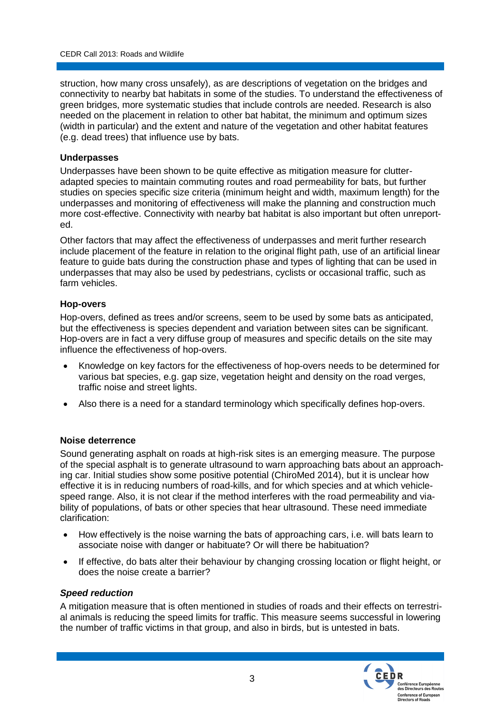struction, how many cross unsafely), as are descriptions of vegetation on the bridges and connectivity to nearby bat habitats in some of the studies. To understand the effectiveness of green bridges, more systematic studies that include controls are needed. Research is also needed on the placement in relation to other bat habitat, the minimum and optimum sizes (width in particular) and the extent and nature of the vegetation and other habitat features (e.g. dead trees) that influence use by bats.

#### **Underpasses**

Underpasses have been shown to be quite effective as mitigation measure for clutteradapted species to maintain commuting routes and road permeability for bats, but further studies on species specific size criteria (minimum height and width, maximum length) for the underpasses and monitoring of effectiveness will make the planning and construction much more cost-effective. Connectivity with nearby bat habitat is also important but often unreported.

Other factors that may affect the effectiveness of underpasses and merit further research include placement of the feature in relation to the original flight path, use of an artificial linear feature to guide bats during the construction phase and types of lighting that can be used in underpasses that may also be used by pedestrians, cyclists or occasional traffic, such as farm vehicles.

#### **Hop-overs**

Hop-overs, defined as trees and/or screens, seem to be used by some bats as anticipated, but the effectiveness is species dependent and variation between sites can be significant. Hop-overs are in fact a very diffuse group of measures and specific details on the site may influence the effectiveness of hop-overs.

- Knowledge on key factors for the effectiveness of hop-overs needs to be determined for various bat species, e.g. gap size, vegetation height and density on the road verges, traffic noise and street lights.
- Also there is a need for a standard terminology which specifically defines hop-overs.

#### **Noise deterrence**

Sound generating asphalt on roads at high-risk sites is an emerging measure. The purpose of the special asphalt is to generate ultrasound to warn approaching bats about an approaching car. Initial studies show some positive potential (ChiroMed 2014), but it is unclear how effective it is in reducing numbers of road-kills, and for which species and at which vehiclespeed range. Also, it is not clear if the method interferes with the road permeability and viability of populations, of bats or other species that hear ultrasound. These need immediate clarification:

- How effectively is the noise warning the bats of approaching cars, i.e. will bats learn to associate noise with danger or habituate? Or will there be habituation?
- If effective, do bats alter their behaviour by changing crossing location or flight height, or does the noise create a barrier?

#### *Speed reduction*

A mitigation measure that is often mentioned in studies of roads and their effects on terrestrial animals is reducing the speed limits for traffic. This measure seems successful in lowering the number of traffic victims in that group, and also in birds, but is untested in bats.

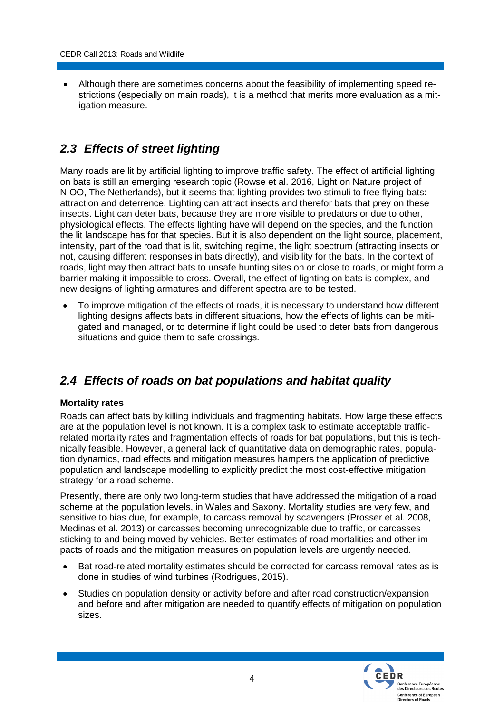Although there are sometimes concerns about the feasibility of implementing speed restrictions (especially on main roads), it is a method that merits more evaluation as a mitigation measure.

### *2.3 Effects of street lighting*

Many roads are lit by artificial lighting to improve traffic safety. The effect of artificial lighting on bats is still an emerging research topic (Rowse et al. 2016, Light on Nature project of NIOO, The Netherlands), but it seems that lighting provides two stimuli to free flying bats: attraction and deterrence. Lighting can attract insects and therefor bats that prey on these insects. Light can deter bats, because they are more visible to predators or due to other, physiological effects. The effects lighting have will depend on the species, and the function the lit landscape has for that species. But it is also dependent on the light source, placement, intensity, part of the road that is lit, switching regime, the light spectrum (attracting insects or not, causing different responses in bats directly), and visibility for the bats. In the context of roads, light may then attract bats to unsafe hunting sites on or close to roads, or might form a barrier making it impossible to cross. Overall, the effect of lighting on bats is complex, and new designs of lighting armatures and different spectra are to be tested.

 To improve mitigation of the effects of roads, it is necessary to understand how different lighting designs affects bats in different situations, how the effects of lights can be mitigated and managed, or to determine if light could be used to deter bats from dangerous situations and guide them to safe crossings.

### *2.4 Effects of roads on bat populations and habitat quality*

### **Mortality rates**

Roads can affect bats by killing individuals and fragmenting habitats. How large these effects are at the population level is not known. It is a complex task to estimate acceptable trafficrelated mortality rates and fragmentation effects of roads for bat populations, but this is technically feasible. However, a general lack of quantitative data on demographic rates, population dynamics, road effects and mitigation measures hampers the application of predictive population and landscape modelling to explicitly predict the most cost-effective mitigation strategy for a road scheme.

Presently, there are only two long-term studies that have addressed the mitigation of a road scheme at the population levels, in Wales and Saxony. Mortality studies are very few, and sensitive to bias due, for example, to carcass removal by scavengers (Prosser et al. 2008, Medinas et al. 2013) or carcasses becoming unrecognizable due to traffic, or carcasses sticking to and being moved by vehicles. Better estimates of road mortalities and other impacts of roads and the mitigation measures on population levels are urgently needed.

- Bat road-related mortality estimates should be corrected for carcass removal rates as is done in studies of wind turbines (Rodrigues, 2015).
- Studies on population density or activity before and after road construction/expansion and before and after mitigation are needed to quantify effects of mitigation on population sizes.

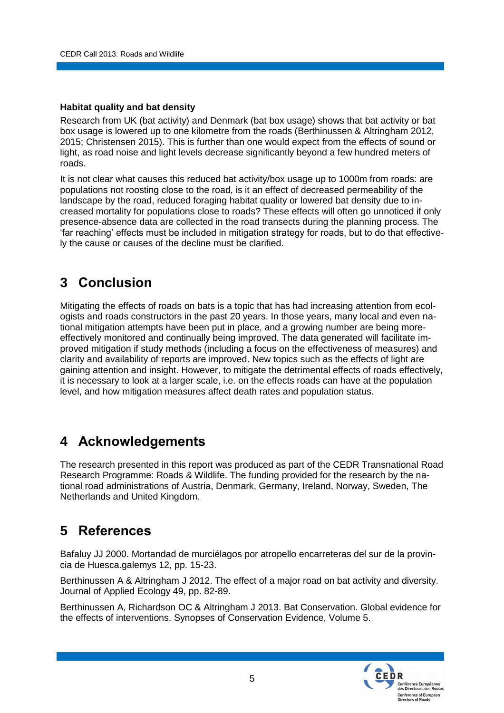### **Habitat quality and bat density**

Research from UK (bat activity) and Denmark (bat box usage) shows that bat activity or bat box usage is lowered up to one kilometre from the roads (Berthinussen & Altringham 2012, 2015; Christensen 2015). This is further than one would expect from the effects of sound or light, as road noise and light levels decrease significantly beyond a few hundred meters of roads.

It is not clear what causes this reduced bat activity/box usage up to 1000m from roads: are populations not roosting close to the road, is it an effect of decreased permeability of the landscape by the road, reduced foraging habitat quality or lowered bat density due to increased mortality for populations close to roads? These effects will often go unnoticed if only presence-absence data are collected in the road transects during the planning process. The 'far reaching' effects must be included in mitigation strategy for roads, but to do that effectively the cause or causes of the decline must be clarified.

## **3 Conclusion**

Mitigating the effects of roads on bats is a topic that has had increasing attention from ecologists and roads constructors in the past 20 years. In those years, many local and even national mitigation attempts have been put in place, and a growing number are being moreeffectively monitored and continually being improved. The data generated will facilitate improved mitigation if study methods (including a focus on the effectiveness of measures) and clarity and availability of reports are improved. New topics such as the effects of light are gaining attention and insight. However, to mitigate the detrimental effects of roads effectively, it is necessary to look at a larger scale, i.e. on the effects roads can have at the population level, and how mitigation measures affect death rates and population status.

## **4 Acknowledgements**

The research presented in this report was produced as part of the CEDR Transnational Road Research Programme: Roads & Wildlife. The funding provided for the research by the national road administrations of Austria, Denmark, Germany, Ireland, Norway, Sweden, The Netherlands and United Kingdom.

## **5 References**

Bafaluy JJ 2000. Mortandad de murciélagos por atropello encarreteras del sur de la provincia de Huesca.galemys 12, pp. 15-23.

Berthinussen A & Altringham J 2012. The effect of a major road on bat activity and diversity. Journal of Applied Ecology 49, pp. 82-89.

Berthinussen A, Richardson OC & Altringham J 2013. Bat Conservation. Global evidence for the effects of interventions. Synopses of Conservation Evidence, Volume 5.

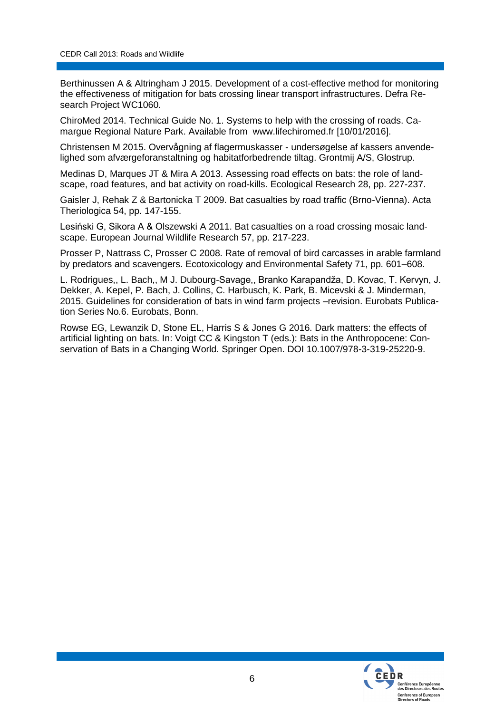Berthinussen A & Altringham J 2015. Development of a cost-effective method for monitoring the effectiveness of mitigation for bats crossing linear transport infrastructures. Defra Research Project WC1060.

ChiroMed 2014. Technical Guide No. 1. Systems to help with the crossing of roads. Camargue Regional Nature Park. Available from www.lifechiromed.fr [10/01/2016].

Christensen M 2015. Overvågning af flagermuskasser - undersøgelse af kassers anvendelighed som afværgeforanstaltning og habitatforbedrende tiltag. Grontmij A/S, Glostrup.

Medinas D, Marques JT & Mira A 2013. Assessing road effects on bats: the role of landscape, road features, and bat activity on road-kills. Ecological Research 28, pp. 227-237.

Gaisler J, Rehak Z & Bartonicka T 2009. Bat casualties by road traffic (Brno-Vienna). Acta Theriologica 54, pp. 147-155.

Lesiński G, Sikora A & Olszewski A 2011. Bat casualties on a road crossing mosaic landscape. European Journal Wildlife Research 57, pp. 217-223.

Prosser P, Nattrass C, Prosser C 2008. Rate of removal of bird carcasses in arable farmland by predators and scavengers. Ecotoxicology and Environmental Safety 71, pp. 601–608.

L. Rodrigues,, L. Bach,, M J. Dubourg-Savage,, Branko Karapandža, D. Kovac, T. Kervyn, J. Dekker, A. Kepel, P. Bach, J. Collins, C. Harbusch, K. Park, B. Micevski & J. Minderman, 2015. Guidelines for consideration of bats in wind farm projects –revision. Eurobats Publication Series No.6. Eurobats, Bonn.

Rowse EG, Lewanzik D, Stone EL, Harris S & Jones G 2016. Dark matters: the effects of artificial lighting on bats. In: Voigt CC & Kingston T (eds.): Bats in the Anthropocene: Conservation of Bats in a Changing World. Springer Open. DOI 10.1007/978-3-319-25220-9.